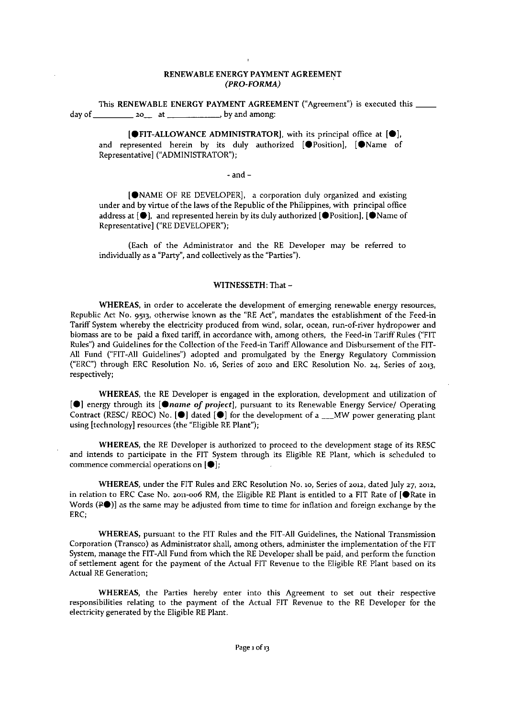## RENEWABLE ENERGY PAYMENT AGREEMENT *(PRO-FORMA)*

This RENEWABLE ENERGY PAYMENT AGREEMENT ("Agreement") is executed this \_\_\_\_\_\_\_\_\_ **day** 0£ 20\_ **at . by and among:**

 $[①$  FIT-ALLOWANCE ADMINISTRATOR], with its principal office at  $[①]$ , and represented herein by its duly authorized  $[\bigoplus$  Position],  $[\bigoplus$  Name of Representative] ("ADMINISTRATOR");

#### - and-

[eNAME OF RE DEVELOPER]' a corporation duly organized and existing under and by virtue of the laws of the Republic of the Philippines, with principal office address at  $[\bullet]$ , and represented herein by its duly authorized  $[\bullet]$ Position],  $[\bullet]$ Name of Representative] ("RE DEVELOPER");

(Each of the Administrator and the RE Developer may be referred to individually as a "Party", and collectively as the "Parties").

#### WITNESSETH: That -

**WHEREAS, in order to accelerate the development of emerging renewable energy resources,** Republic Act No. 9513, otherwise known as the "RE Act", mandates the establishment of the Feed-in **Tariff System whereby the electricity produced from wind, solar, ocean, run-of-river hydropower and** biomass are to be paid a fixed tariff, in accordance with, among others, the Feed-in Tariff Rules ("FIT Rules") and Guidelines for the Collection of the Feed-in Tariff Allowance and Disbursement of the FIT-All Fund ("FIT-All Guidelines") adopted and promulgated by the Energy Regulatory Commission ("ERC") through ERC Resolution No. 16, Seiies of 2010 and ERC Resolution No. 24, Series of 2013, **respectively;**

WHEREAS, the RE Developer is engaged in the exploration, development and utilization of **[@]** energy through its **[@name of project**], pursuant to its Renewable Energy Service/ Operating Contract (RESC/ REOC) No. **[0]** dated **[0]** for the development of a \_\_MW power generating plant using [technology] resources (the "Eligible RE Plant");

WHEREAS, the RE Developer is authorized to proceed to the development stage of its RESC **and intends to participate in the FIT System through its Eligible RE Plant, which is scheduled to commence commercial operations on [.];**

**WHEREAS, under the FIT Rules and ERe Resolution No. 10, Series of 2012, dated July 27, 2012,** in relation to ERC Case No. 2011-006 RM, the Eligible RE Plant is entitled to a FIT Rate of [@Rate in Words  $(1\bullet)$ ] as the same may be adjusted from time to time for inflation and foreign exchange by the ERC;

WHEREAS, pursuant to the FIT Rules and the FIT-All Guidelines, the National Transmission **Corporation (Transco) as Administrator shall, among others, administer the implementation of the FIT** System, manage the FIT-All Fund from which the RE Developer shall be paid, and perform the function of settlement agent for the payment of the Actual FIT Revenue to the Eligible RE Plant based on its **Actual REGeneration;**

**WHEREAS, the Parties hereby enter into this Agreement to set out their respective responsibilities relating to the payment of the Actual FIT Revenue to the RE Developer for the** electricity generated by the Eligible RE Plant.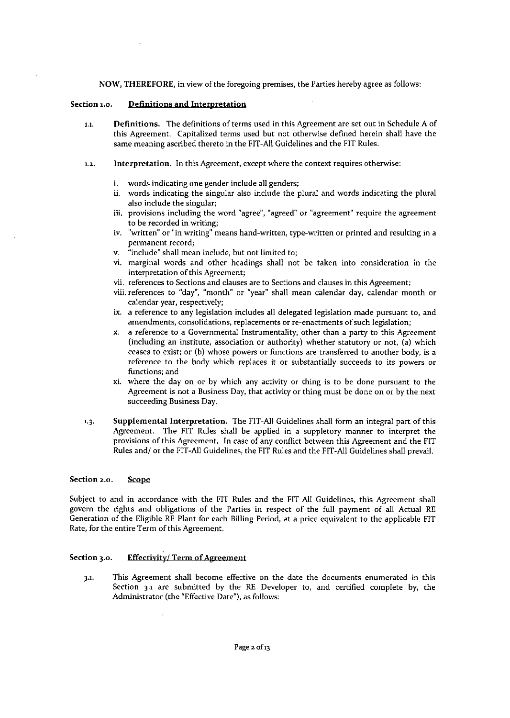NOW, THEREFORE, in view of the foregoing premises, the Parties hereby agree as follows:

## **Section 1.0. Definitions and Interpretation**

- **1.1. Definitions. The definitions of terms used in this Agreement are set out in Schedule A of** this Agreement. Capitalized terms used but not otherwise defined herein shall have the same meaning ascribed thereto in the FIT-All Guidelines and the FIT Rules.
- **1.2. Interpretation. In this Agreement, except where the context requires otherwise:**
	- **i. words indicating one gender include all genders;**
	- **ii. words indicating the singular also include the plural and words indicating the plural also include the singular;**
	- **iii. provisions including the word "agree", "agreed"or "agreement" require the agreement to be recorded in writing;**
	- **iv. "written" or "in writing" means hand-written, type-written or printed and resulting in a permanent record;**
	- **v. "include" shall mean include, but not limited to;**
	- **vi. marginal words and other headings shall not be taken into consideration in the interpretation of this Agreement;**
	- **vii. references to Sections and clauses are to Sections and clauses in this Agreement;**
	- **viii. references to "day", "month" or "year"shall mean calendar day, calendar month or calendar year, respectively;**
	- **ix. a reference to any legislation includes all delegated legislation made pursuant to, and amendments, consolidations, replacements or re-enactments of such legislation;**
	- **x. a reference to a Governmental Instrumentality, other than a party to this Agreement (including an institute, association or authority) whether statutory or not, (a) which ceases to exist; or (b) whose powers or functions are transferred to another body, is a reference to the body which replaces it or substantially succeeds to its powers or functions; and**
	- **xi. where the day on or by which any activity or thing is to be done pursuant to the Agreement is not a Business Day, that activity or thing must be done on or by the next succeeding Business Day.**
- 1.3. Supplemental Interpretation. The FIT-All Guidelines shall form an integral part of this Agreement. The FIT Rules shall be applied in a suppletory manner to interpret the **provisions of this Agreement. In case of any conflict between this Agreement and the FIT** Rules and/ or the FIT-All Guidelines, the FIT Rules and the FIT-All Guidelines shall prevail.

#### **Section 2..0. Scope**

Subject to and in accordance with the FIT Rules and the FIT-All Guidelines, this Agreement shall govern the rights and obligations of the Parties in respect of the full payment of all Actual RE Generation of the Eligible RE Plant for each Billing Period, at a price equivalent to the applicable FIT **Rate, for the entire Term** of this **Agreement.**

## **Section 3.0. Effectivity! Term of Agreement**

**3.1. This Agreement shall become effective on the date the documents enumerated in this** Section 3.1 are submitted by the RE Developer to, and certified complete by, the **Administrator (the "Effective Date"), as follows:**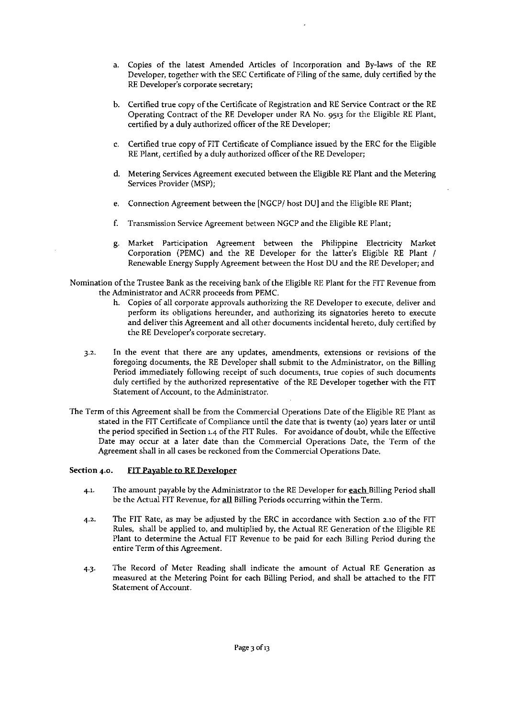- a. Copies of the latest Amended Articles of Incorporation and By-laws of the RE Developer, together with the SEC Certificate of Filing of the same, duly certified by the **REDeveloper's corporate secretary;**
- b. Certified true copy of the Certificate of Registration and RE Service Contract or the RE Operating Contract of the RE Developer under RA No. 9513 for the Eligible RE Plant, certified by a duly authorized officer of the RE Developer;
- c. Certified true copy of FIT Certificate of Compliance issued by the ERC for the Eligible RE Plant, certified by a duly authorized officer of the RE Developer;
- d. Metering Services Agreement executed between the Eligible RE Plant and the Metering Services Provider (MSP);
- e. Connection Agreement between the [NGCPj host DU] and the Eligible RE Plant;
- f. Transmission Service Agreement between NGCP and the Eligible RE Plant;
- g. Market Participation Agreement between the Philippine Electricity Market Corporation (PEMC) and the RE Developer for the latter's Eligible RE Plant *j* Renewable Energy Supply Agreement between the Host DU and the RE Developer; and
- Nomination of the Trustee Bank as the receiving bank of the Eligible RE Plant for the FIT Revenue from the Administrator and ACRR proceeds from PEMC.
	- **h. Copies of all corporate approvals authorizing the RE Developer to execute, deliver and perform its obligations hereunder, and authorizing its signatories hereto to execute** and deliver this Agreement and all other documents incidental hereto, duly certified by the RE Developer's corporate secretary.
	- **3.2.** In the event that there are any updates, amendments, extensions or revisions of the foregoing documents, the RE Developer shall submit to the Administrator, on the Billing **Period immediately following receipt of such documents, true copies of such documents** duly certified by the authorized representative of the RE Developer together with the FIT **Statement of Account, to the Administrator.**
- The Term of this Agreement shall be from the Commercial Operations Date of the Eligible RE Plant as stated in the FIT Certificate of Compliance until the date that is twenty (20) years later or until the period specified in Section 1.4 of the FIT Rules. For avoidance of doubt, while the Effective **Date may occur at a later date than the Commercial Operations Date, the Term of the Agreement shall in all cases be reckoned from the Commercial Operations Date.**

## Section 4.0. FIT Payable to RE Developer

- 4.1. The amount payable by the Administrator to the RE Developer for each Billing Period shall **be the Actual FIT Revenue, for all Billing Periods occurring within the Term.**
- 4.2. The FIT Rate, as may be adjusted by the ERC in accordance with Section 2.10 of the FIT Rules, shall be applied to, and multiplied by, the Actual RE Generation of the Eligible RE Plant to determine the Actual FIT Revenue to be paid for each Billing Period during the **entire Term** of this **Agreement.**
- **4.3. The Record of Meter Reading shall indicate the amount of Actual RE Generation as measured at the Metering Point for each Billing Period, and shall be attached to the FIT Statement of Account.**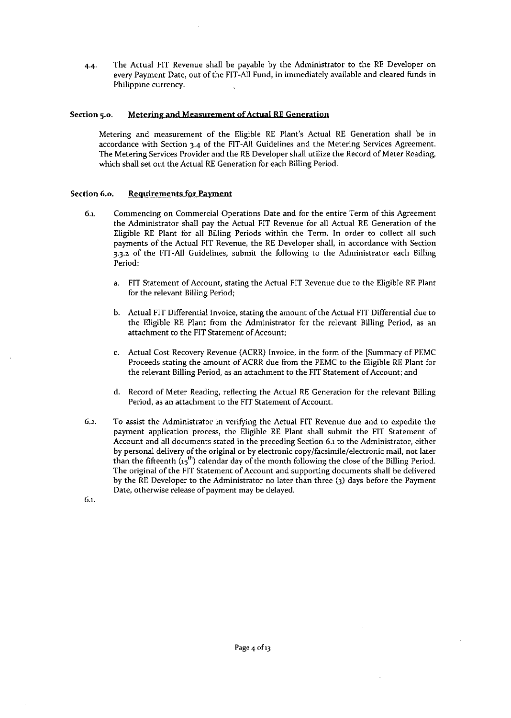4.4. The Actual FIT Revenue shall be payable by the Administrator to the RE Developer on every Payment Date, out of the FIT-All Fund, in immediately available and cleared funds in Philippine currency.

### **Section 5.0. Metering and Measurement of Actual REGeneration**

Metering and measurement of the Eligible RE Plant's Actual RE Generation shall be in accordance with Section 3.4 of the FIT-All Guidelines and the Metering Services Agreement. The Metering Services Provider and the RE Developer shall utilize the Record of Meter Reading, which shall set out the Actual RE Generation for each Billing Period.

#### **Section 6.0. Requirements for Payment**

- **6.1. Commencing on Commercial Operations Date and for the entire Term of this Agreement** the Administrator shall pay the Actual FIT Revenue for all Actual RE Generation of the Eligible RE Plant for all Billing Periods within the Term. In order to collect all such payments of the Actual FIT Revenue, the RE Developer shall, in accordance with Section 3.3.Z of the FIT-All Guidelines, submit the following to the Administrator each Billing Period:
	- a. FIT Statement of Account, stating the Actual FIT Revenue due to the Eligible RE Plant for the relevant Billing Period;
	- b. Actual FIT Differential Invoice, stating the amount of the Actual FIT Differential due to the Eligible RE Plant from the Administrator for the relevant Billing Period, as an attachment to the FIT Statement of Account;
	- c. Actual Cost Recovery Revenue (ACRR) Invoice, in the form of the [Summary of PEMC Proceeds stating the amount of ACRR due from the PEMC to the Eligible RE Plant for **the relevant Billing Period, as an attachment to the FIT Statement of Account; and**
	- d. Record of Meter Reading, reflecting the Actual RE Generation for the relevant Billing **Period, as an attachment to the FIT Statement of Account.**
- 6.2. To assist the Administrator in verifying the Actual FIT Revenue due and to expedite the payment application process, the Eligible RE Plant shall submit the FIT Statement of **Account and all documents stated in the preceding Section 6.1 to the Administrator, either by personal delivery** of the **original or by electronic copy/facsimile/electronic mail, not later** than the fifteenth  $(i5<sup>th</sup>)$  calendar day of the month following the close of the Billing Period. The original of the FIT Statement of Account and supporting documents shall be delivered by the RE Developer to the Administrator no later than three (3) days before the Payment **Date, otherwise release of payment may be delayed.**

6.1.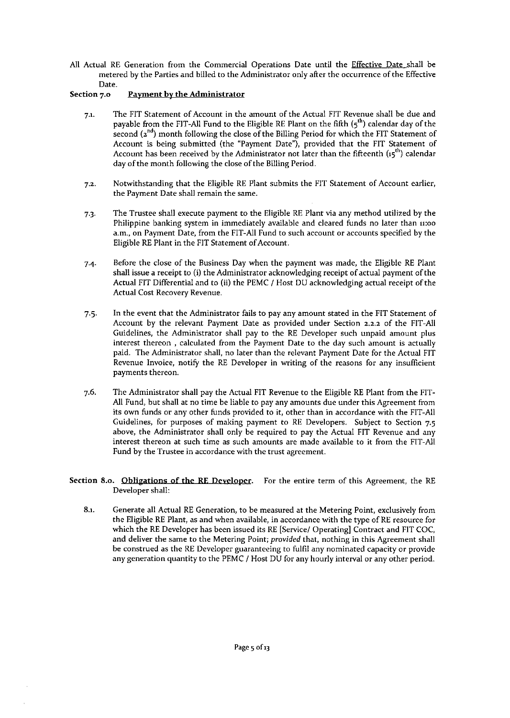All Actual RE Generation from the Commercial Operations Date until the Effective Date shall be metered by the Parties and billed to the Administrator only after the occurrence of the Effective **Date.**

## Section 7.0 Payment by the Administrator

- 7.1. The FIT Statement of Account in the amount of the Actual FIT Revenue shall be due and payable from the FIT-All Fund to the Eligible RE Plant on the fifth  $(5<sup>th</sup>)$  calendar day of the second  $(z^{nd})$  month following the close of the Billing Period for which the FIT Statement of Account is being submitted (the "Payment Date"), provided that the FIT Statement of Account has been received by the Administrator not later than the fifteenth  $(i5<sup>th</sup>)$  calendar day of the month following the close of the Billing Period.
- 7.2. Notwithstanding that the Eligible RE Plant submits the FIT Statement of Account earlier, **the Payment Date shall remain the same.**
- 7.3. The Trustee shall execute payment to the Eligible RE Plant via any method utilized by the Philippine banking system in immediately available and cleared funds no later than n:oo a.m., on Payment Date, from the FIT-All Fund to such account or accounts specified by the Eligible RE Plant in the FIT Statement of Account.
- 7.4 Before the close of the Business Day when the payment was made, the Eligible RE Plant shall issue a receipt to (i) the Administrator acknowledging receipt of actual payment of the Actual FIT Differential and to (ii) the PEMC / Host DU acknowledging actual receipt of the **Actual Cost Recovery Revenue.**
- 7.5. **In the event that the Administrator fails to pay any amount stated in the FIT Statement of** Account by the relevant Payment Date as provided under Section 2.2.2 of the FIT-All Guidelines, the Administrator shall pay to the RE Developer such unpaid amount plus **interest thereon , calculated from the Payment Date to the day such amount is actually** paid. The Administrator shall, no later than the relevant Payment Date for the Actual FIT **Revenue Invoice, notify the RE Developer in writing of the reasons for any insufficient payments thereon.**
- 7.6. The Administrator shall pay the Actual FIT Revenue to the Eligible RE Plant from the FIT-All Fund, but shall at no time be liable to pay any amounts due under this Agreement from its own funds or any other funds provided to it, other than in accordance with the FIT-All Guidelines, for purposes of making payment to RE Developers. Subject to Section 7.5 above, the Administrator shall only be required to pay the Actual FIT Revenue and any **interest thereon at such time as such amounts are made available to it from the FIT-All Fund by the Trustee in accordance with the trust agreement.**
- **Section 8.0. Obligations of the RE Developer. For the entire term of this Agreement, the RE** Developer shall:
	- **8.1. Generate all Actual RE Generation, to be measured at the Metering Point, exclusively from the Eligible RE Plant, as and when available, in accordance with the type of RE resource for** which the RE Developer has been issued its RE [Service/ Operating] Contract and FIT COC, **and deliver the same to the Metering Point;** *provided* **that, nothing in this Agreement shall be construed as the RE Developer guaranteeing to fulfil any nominated capacity or provide any generation quantity to the PEMe / Host DU for any hourly interval or any other period.**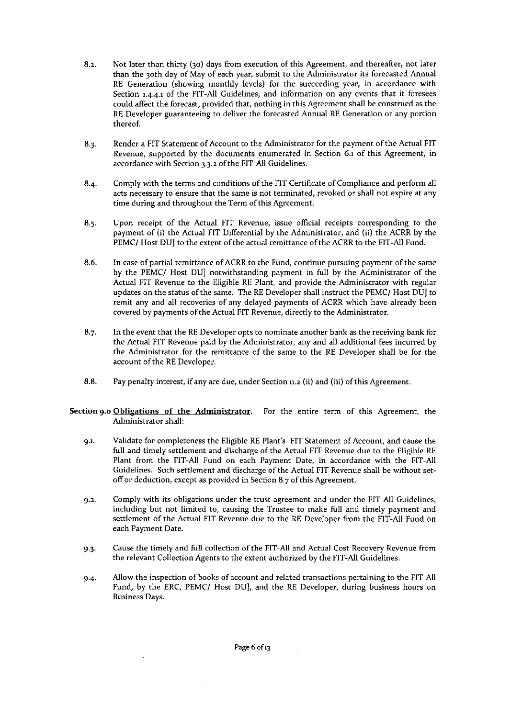- 8.2. Not later than thirty (30) days from execution of this Agreement, and thereafter, not later **than the 30th day of May of each year, submit to the Administrator its forecasted Annual** RE Generation (showing monthly levels) for the succeeding year, in accordance with **Section 1.4-4.1 of the FIT-All Guidelines, and information on any events that it foresees could affect the forecast, provided that, nothing in this Agreement shall be construed as the RE Developer guaranteeing to deliver the forecasted Annual RE Generation or any portion** thereof.
- 8.3. Render a FIT Statement of Account to the Administrator for the payment of the Actual FIT **Revenue, supported by the documents enumerated in Section 6.1 of this Agreement, in** accordance with Section 3.3.2 of the FIT-All Guidelines.
- 8.4. Comply with the terms and conditions of the FIT Certificate of Compliance and perform all **acts necessary to ensure that the same is not terminated, revoked or shall not expire at any time during and throughout the Term** of this **Agreement.**
- **8.s. Upon receipt of the Actual FIT Revenue, issue official receipts corresponding to the** payment of (i) the Actual FIT Differential by the Administrator; and (ii) the ACRR by the PEMC/ Host DU] to the extent of the actual remittance of the ACRR to the FIT-All Fund.
- **8.6. In case of partial remittance of ACRR to the Fund, continue pursuing payment of the same** by the PEMC/ Host DUJ notwithstanding payment in full by the Administrator of the Actual FIT Revenue to the Eligible RE Plant, and provide the Administrator with regular updates on the status of the same. The RE Developer shall instruct the PEMC/ Host DU] to remit any and all recoveries of any delayed payments of ACRR which have already been covered by payments of the Actual FIT Revenue, directly to the Administrator.
- **8.7. In the event that the REDeveloper opts to nominate another bank as the receiving bank for** the Actual FIT Revenue paid by the Administrator, any and all additional fees incurred by the Administrator for the remittance of the same to the RE Developer shall be for the account of the RE Developer.
- 8.8. Pay penalty interest, if any are due, under Section n.2 (ii) and (iii) of this Agreement.
- **Section 9.0 Obligations of the Administrator. For the entire term of this Agreement, the Administrator shall:**
	- 9.1. Validate for completeness the Eligible RE Plant's FIT Statement of Account, and cause the full and timely settlement and discharge of the Actual FIT Revenue due to the Eligible RE Plant from the FIT-All Fund on each Payment Date, in accordance with the FIT-All **Guidelines. Such settlement and discharge of the Actual FIT Revenue shall be without setoff or deduction, except as provided in Section 8.7 of this Agreement.**
	- **9.2. Comply with its obligations under the trust agreement and under the FIT-All Guidelines, including but not limited to, causing the Trustee to make full and timely payment and** settlement of the Actual FIT Revenue due to the RE Developer from the FIT-All Fund on **each Payment Date.**
	- 9.3. Cause the timely and full collection of the FIT-All and Actual Cost Recovery Revenue from the relevant Collection Agents to the extent authorized by the FIT-All Guidelines.
	- **9.4- Allow the inspection of books of account and related transactions pertaining to the FIT-All** Fund, by the ERC, PEMC/ Host DUj, and the RE Developer, during business hours on **Business Days.**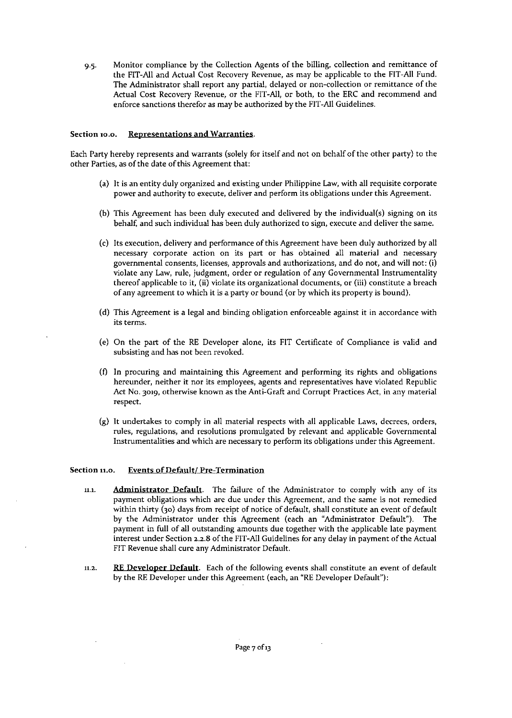9.5. Monitor compliance by the Collection Agents of the billing, collection and remittance of the FIT-All and Actual Cost Recovery Revenue, as may be applicable to the FIT-All Fund. **The Administrator shall report any partial, delayed or non-collection or remittance of the Actual Cost Recovery Revenue, or the FIT-All, or both, to the ERe and recommend and** enforce sanctions therefor as may be authorized by the FIT-All Guidelines.

## **Section 10,0. Representations and Warranties.**

Each Party hereby represents and warrants (solely for itself and not on behalf of the other party) to the **other Parties, as** of the **date ofthis Agreement that:**

- (a) It is an entity duly organized and existing under Philippine Law, with all requisite corporate **power and authority to execute, deliver and perform its obligations under this Agreement.**
- (b) This Agreement has been duly executed and delivered by the individual(s) signing on its **behalf, and such individual has been duly authorized to sign, execute and deliver the same.**
- (c) Its execution, delivery and performance of this Agreement have been duly authorized by all **necessary corporate action on its part or has obtained all material and necessary governmental consents, licenses, approvals and authorizations, and do not, and will not: (i) violate any Law, rule, judgment, order or regulation of any** Governmental Instrumentality **thereof applicable to it, (ii) violate its organizational documents, or (iii) constitute a breach** of any agreement to which it is a party or bound (or by which its property is bound).
- **(d) This Agreement is a legal and binding obligation enforceable against it in accordance with its terms.**
- (e) On the part of the RE Developer alone, its FIT Certificate of Compliance is valid and **subsisting and has not been revoked.**
- **(f) In procuring and maintaining this Agreement and performing its rights and obligations hereunder, neither it nor its employees, agents and representatives have violated Republic Act No. 3019, otherwise known as the Anti-Graft and Corrupt Practices Act, in any material respect.**
- (g) It undertakes to comply in all material respects with all applicable Laws, decrees, orders, **rules, regulations, and resolutions promulgated by relevant and applicable Governmental Instrumentalities and which are necessary to perform its obligations under this Agreement.**

## **Section 11.0. Events of Default! Pre-Termination**

- **11.1. Administrator Default. The failure of the Administrator to comply with any of its payment obligations which are due under this Agreement, and the same is not remedied** within thirty (30) days from receipt of notice of default, shall constitute an event of default by the Administrator under this Agreement (each an "Administrator Default"). The payment in full of all outstanding amounts due together with the applicable late payment **interest under Section 2.2.8 of the FIT-All Guidelines for any delay in payment of the Actual** FIT Revenue shall cure any Administrator Default.
- **11.2. RE Deyeloper Default. Each of the following events shall constitute an event of default** by the RE Developer under this Agreement (each, an "RE Developer Default"):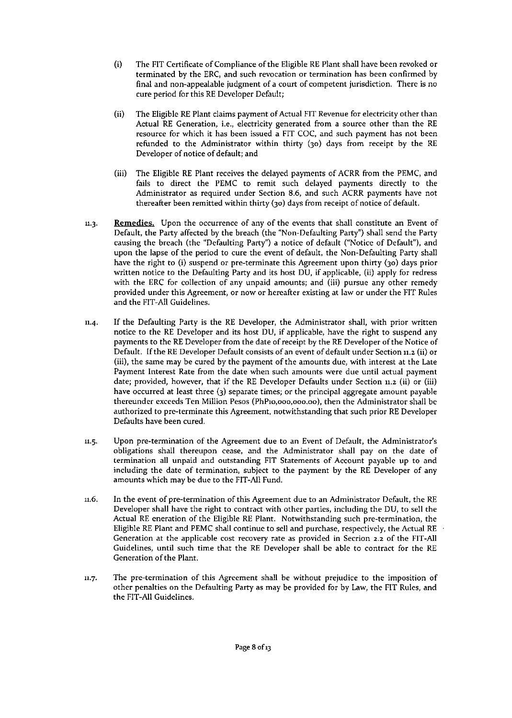- (i) The FIT Certificate of Compliance of the Eligible RE Plant shall have been revoked or **terminated by the ERe, and such revocation or termination has been confirmed by final and non-appealable judgment of a court of competent jurisdiction. There is no** cure period for this RE Developer Default;
- (ii) The Eligible RE Plant claims payment of Actual FIT Revenue for electricity other than **Actual RE Generation, Le., electricity generated from a source other than the RE resource for which it has been issued a FIT cae, and such payment has not been** refunded to the Administrator within thirty (30) days from receipt by the RE Developer of notice of default; and
- (iii) The Eligible RE Plant receives the delayed payments of ACRR from the PEMC, and fails to direct the PEMC to remit such delayed payments directly to the **Administrator as required under Section 8.6, and such ACRR payments have not** thereafter been remitted within thirty (30) days from receipt of notice of default.
- **11.3. Remedies. Upon the occurrence of any of the events that shall constitute an Event of** Default, the Party affected by the breach (the "Non-Defaulting Party") shall send the Party causing the breach (the "Defaulting Party") a notice of default ("Notice of Default"), and upon the lapse of the period to cure the event of default, the Non-Defaulting Party shall have the right to (i) suspend or pre-terminate this Agreement upon thirty (30) days prior written notice to the Defaulting Party and its host DU, if applicable, (ii) apply for redress with the ERC for collection of any unpaid amounts; and (iii) pursue any other remedy **provided under this Agreement, or now or hereafter existing at law or under the FIT Rules** and the FIT-All Guidelines.
- 11.4. If the Defaulting Party is the RE Developer, the Administrator shall, with prior written notice to the RE Developer and its host DU, if applicable, have the right to suspend any payments to the RE Developer from the date of receipt by the RE Developer of the Notice of Default. Ifthe RE Developer Default consists of an event of defanlt under Section n.2 (ii) or (iii), the same may be cured by the payment of the amounts due, with interest at the Late **Payment Interest Rate from the date when such amounts were due until actual payment** date; provided, however, that if the RE Developer Defaults under Section n.2 (ii) or (iii) have occurred at least three (3) separate times; or the principal aggregate amount payable **thereunder exceeds Ten Million Pesos (PhPlO,ooo,ooo.oo), then the Administrator shall be authorized to pre-terminate this Agreement, notwithstanding that such prior RE Developer** Defaults have been cured.
- **11.5. Upon pre-termination of the Agreement due to an Event of Default, the Administrator's obligations shall thereupon cease, and the Administrator shall pay on the date of termination all unpaid and outstanding FIT Statements of Account payable up to and including the date of termination, subject to the payment by the RE Developer of any** amounts which may be due to the FIT-All Fund.
- **11.6. In the event of pre-termination of this Agreement due to an Administrator Default, the RE Developer shall have the right to contract with other parties, including the DU, to sell the Actual RE eneration of the Eligible RE Plant. Notwithstanding such pre-termination, the** Eligible RE Plant and PEMC shall continue to sell and purchase, respectively, the Actual RE **Generation at the applicable cost recovery rate as provided in Secrion 2.2 of the FIT-All** Guidelines, until such time that the RE Developer shall be able to contract for the RE **Generation of the Plant.**
- **11.7. The pre-termination of this Agreement shall be without prejudice to the imposition of** other penalties on the Defaulting Party as may be provided for by Law, the FIT Rules, and the FIT-All Guidelines.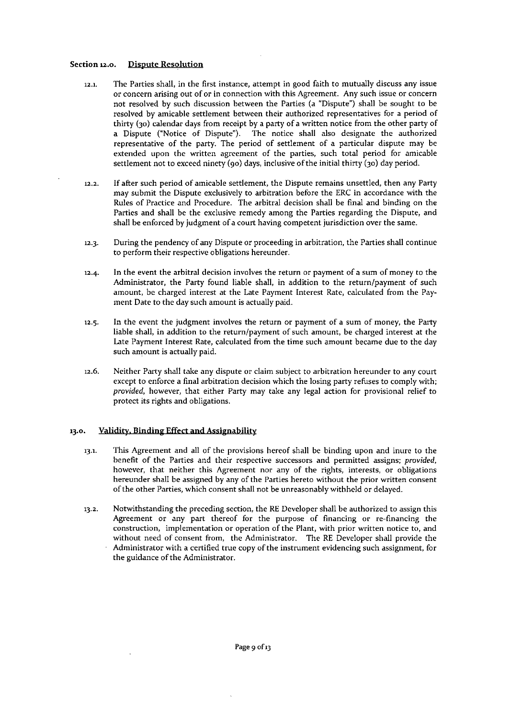## **Section 12.0.** Dispute Resolution

- **12.1. The Parties shall, in the first instance, attempt in good faith to mutually discuss any issue or concern arising out of or in connection with this Agreement. Any such issue or concern** not resolved by such discussion between the Parties (a "Dispute") shall be sought to be **resolved by amicable settlement between their authorized representatives for a period of** thirty (30) calendar days from receipt by a party of a written notice from the other party of a Dispute ("Notice of Dispute"). The notice shall also designate the authorized representative of the party. The period of settlement of a particular dispute may be **extended upon the written agreement of the parties, such total period for amicable** settlement not to exceed ninety  $(qo)$  days, inclusive of the initial thirty  $(qo)$  day period.
- **12.2. If after such period of amicable settlement, the Dispute remains unsettled, then any Party may submit the Dispute exclusively to arbitration before the ERe in accordance with the** Rules of Practice and Procedure. The arbitral decision shall be final and binding on the Parties and shall be the exclusive remedy among the Parties regarding the Dispute, and **shall be enforced by judgment of a court having competent jurisdiction over the same.**
- **12.3. During the pendency of any Dispute or proceeding in arbitration, the Parties shall continue to perform their respective obligations hereunder.**
- 12.4. In the event the arbitral decision involves the return or payment of a sum of money to the Administrator, the Party found liable shall, in addition to the return/payment of such amount, be charged interest at the Late Payment Interest Rate, calculated from the Payment Date to the day such amount is actually paid.
- **12.5. In the event the judgment involves the return or payment of a sum of money, the Party** liable shall, in addition to the return/payment of such amount, be charged interest at the **Late Payment Interest Rate, calculated from the time such amount became due to the day such** a~ount **is actually paid.**
- **12.6. Neither Party shall take any dispute or claim subject to arbitration hereunder to any court except to enforce a final arbitration decision which the losing party refuses to comply with;** *provided,* **however, that either Party may take any legal action for provisional relief to protect its rights and obligations.**

## 13.0. **Validity, Binding Effect and Assignability**

- **13.1. This Agreement and all of the provisions hereof shall be binding upon and inure to the benefit of the Parties and their respective successors and permitted assigns;** *provided,* **however, that neither this Agreement nor any of the rights, interests, or obligations hereunder shall be assigned by any of the Parties hereto without the prior written consent** of the other Parties, which consent shall not be unreasonably withheld or delayed.
- **13.2. Notwithstanding the preceding section, the RE Developer shall be authorized to assign this Agreement or any part thereof for the purpose of financing or re-financing the construction, implementation or operation of the Plant, with prior written notice to, and** without need of consent from, the Administrator. The RE Developer shall provide the **Administrator with a certified true copy of the instrument evidencing such assignment, for the guidance** of the **Administrator.**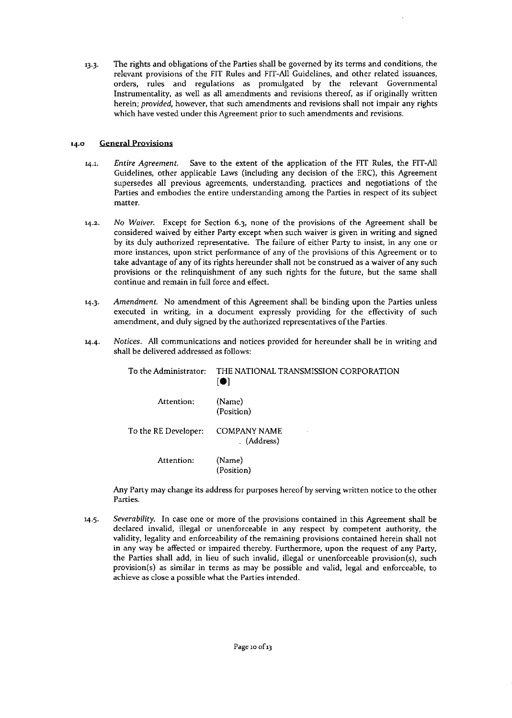13.3. The rights and obligations of the Parties shall be governed by its terms and conditions, the **relevant provisions of the FIT Rules and FIT-All Guidelines, and other related issuances, orders, rules and regulations as promulgated by the relevant Governmental Instrumentality, as well as all amendments and revisions thereof, as if originally written herein;** *provided,* **however, that such amendments and revisions shall not impair any rights which have vested under this Agreement prior to such amendments and revisions.**

# **14.0 General Provisions**

- *14.1. Entire Agreement.* Save to the extent of the application of the FIT Rules, the FIT-All Guidelines, other applicable Laws (including any decision of the ERC), this Agreement **supersedes all previous agreements, understanding, practices and negotiations of the Parties and embodies the entire understanding among the Parties in respect of its subject matter.**
- **14.2. No** *Waiver.* Except for Section 6.3, none of the provisions of the Agreement shall be **considered waived by either Party except when such waiver is given in writing and signed by its duly authorized representative. The failure of either Party to insist, in anyone or more instances, upon strict performance of any of the provisions of this Agreement or to take advantage of any of its rights hereunder shall not be construed as a waiver of any such provisions or the relinquishment of any such rights for the future, but the same shall continue and remain in full force and effect.**
- *14.3. Amendment.* No amendment of this Agreement shall be binding upon the Parties unless **executed in writing, in a document expressly providing for the effectivity of such amendment, and duly signed by the authorized representatives of the Parties.**
- *14.4. Notices.* **All communications and notices provided for hereunder shall be in writing and** shall be delivered addressed as follows:

| To the Administrator: | THE NATIONAL TRANSMISSION CORPORATION<br>$\blacksquare$ |
|-----------------------|---------------------------------------------------------|
| Attention:            | (Name)<br>(Position)                                    |
| To the RE Developer:  | <b>COMPANY NAME</b><br>(Address)                        |
| Attention:            | (Name)<br>(Position)                                    |

**Any Party may change its address for purposes hereof by serving written notice to the other Parties.**

*14.5. Severability.* **In case one or more of the provisions contained in this Agreement shall be declared invalid, illegal or unenforceable in any respect by competent authority, the validity, legality and enforceability of the remaining provisions contained herein shall not in any way be affected or impaired thereby. Furthermore, upon the request of any Party, the Parties shall add, in lieu of such invalid, illegal or unenforceable provision(s), such provision(s) as similar in terms as may be possible and valid, legal and enforceable, to achieve as close a possible what the Parties intended.**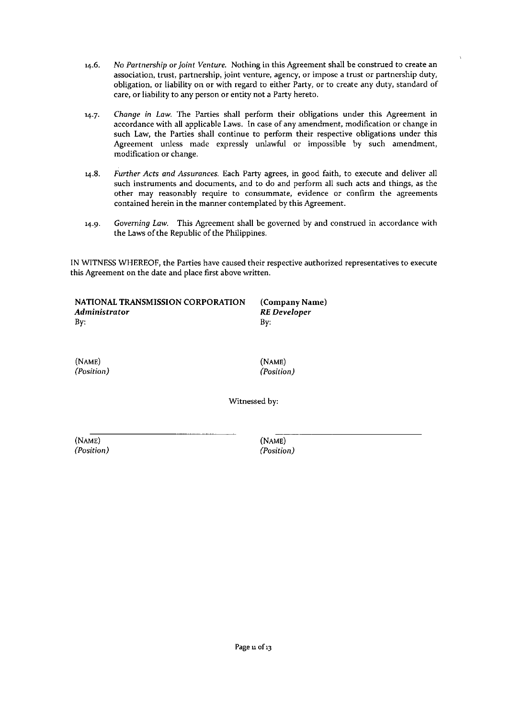- 14.6. No *Partnership* or *Joint Venture.* Nothing in this Agreement shall be construed to create an association, trust, partnership, joint venture, agency, or impose a trust or partnership duty, obligation, or liability on or with regard to either Party, or to create any duty, standard of care, or liability to any person or entity not a Party hereto.
- *14.7. Change* in *Law.* The Parties shall perform their obligations under this Agreement in accordance with all applicable Laws. In case of any amendment, modification or change in such Law, the Parties shall continue to perform their respective obligations under this Agreement unless made expressly unlawful or impossible by such amendment, modification or change.
- *14.8. Further Acts and Assurances.* Each Party agrees, in good faith, to execute and deliver all such instruments and documents, and to do and perform all such acts and things, as the other may reasonably require to consummate, evidence or confirm the agreements contained herein in the manner contemplated by this Agreement.
- *14.9. Governing Law.* This Agreement shall be governed by and construed in accordance with the Laws of the Republic of the Philippines.

IN WITNESS WHEREOF, the Parties have caused their respective authorized representatives to execute this Agreement on the date and place first above written.

| NATIONAL TRANSMISSION CORPORATION | (Company Name) |
|-----------------------------------|----------------|
| Administrator                     | RE Developer   |
| By:                               | Bv:            |

(NAME) *(Position)* (NAME) *(Position)*

Witnessed by:

(NAME) *(Position)* (NAME) *(Position)*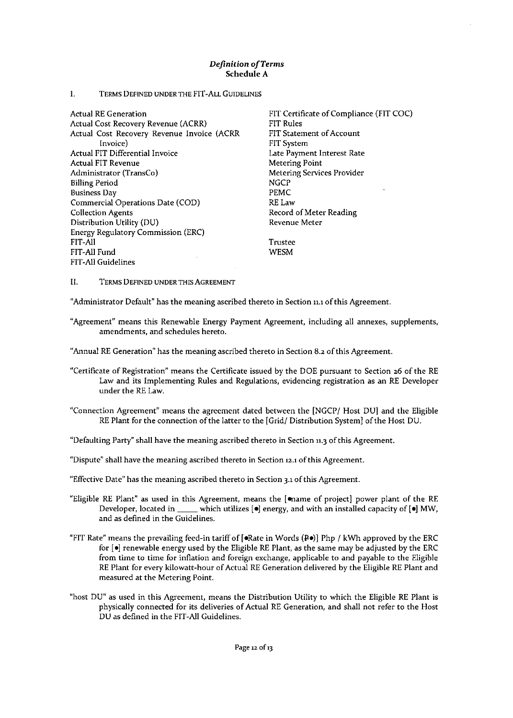## Definition *o/Terms* Schedule A

#### I. TERMS DEFINED UNDER THE FIT-ALL GUIDELINES

Actual RE Generation Actual Cost Recovery Revenue (ACRR) Actual Cost Recovery Revenue Invoice (ACRR **Invoice)** Actual FIT Differential Invoice Actual FIT Revenue **Administrator (TransCo)** Billing Period **Business Day** Commercial Operations Date (COD) Collection Agents Distribution Utiliry (DU) Energy Regulatory Commission (ERC) FIT-All FIT-All Fund FIT-All Guidelines

FIT Certificate of Compliance (FIT COC) FIT Rules FIT Statement of Account FIT System **Late Payment Interest Rate Metering Point Metering Services Provider NGCP** PEMC RE Law Record of Meter Reading **Revenue Meter**

**Trustee** WESM

II. TERMSDEFINEDUNDERTHISAGREEMENT

**"Administrator Default" has the meaning ascribed thereto in Section 11.1 of this Agreement.**

**"Agreement" means this Renewable Energy Payment Agreement, including all annexes, supplements .. amendments, and schedules hereto.**

**"Annual REGeneration" has the meaning ascribed thereto in Section 8.2 of this Agreement.**

- **"Certificate of Registration" means the Certificate issued by the DOE pursuant to Section 26 of the RE Law and its Implementing Rules and Regulations, evidencing registration as an RE Developer** under the RE Law.
- "Connection Agreement" means the agreement dated between the [NGCP/ Host DU) and the Eligible RE Plant for the connection of the latter to the [Grid/ Distribution System] of the Host DU.

**"Defaulting Party"shall have the meaning ascribed thereto in Section 11,3 ofthis Agreement.**

**"Dispute" shall have the meaning ascribed thereto in Section 12.1 of this Agreement.**

**"Effective Date" has the meaning ascribed thereto in Section 3.1of this Agreement.**

- "Eligible RE Plant" as used in this Agreement, means the [ename of project] power plant of the RE **Developer, located in \_\_ which utilizes [e] energy, and with an installed capacity of [e] MW, and as defined in the Guidelines.**
- "FIT Rate" means the prevailing feed-in tariff of [eRate in Words (Pe)) Php / kWh approved by the ERC for **[e]** renewable energy used by the Eligible RE Plant, as the same may be adjusted by the ERC **from time to time for inflation and foreign exchange, applicable to and payable to the Eligible** RE Plant for every kilowatt-hour of Actual RE Generation delivered by the Eligible RE Plant and **measured at the Metering Point.**
- "host DU" as used in this Agreement, means the Distribution Utility to which the Eligible RE Plant is **physically connected for its deliveries of Actual RE Generation, and shall not refer to the Host** DU as defined in the FIT-All Guidelines.